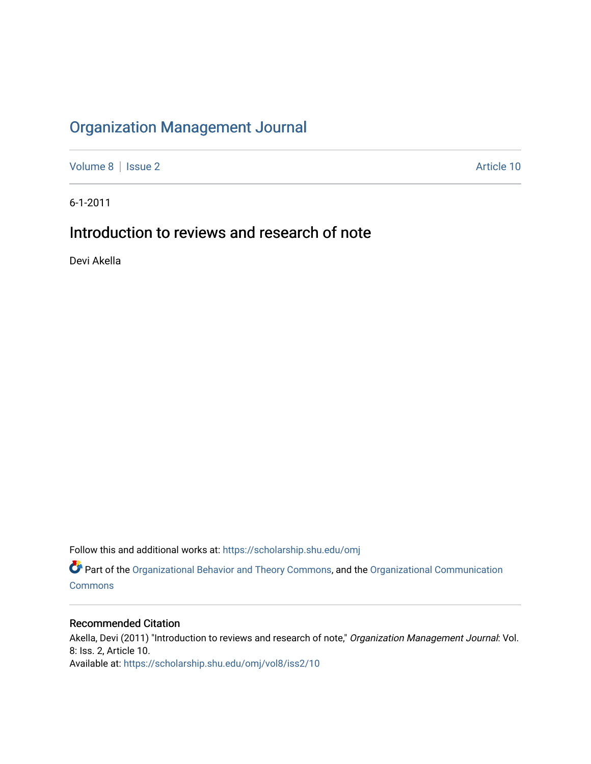## [Organization Management Journal](https://scholarship.shu.edu/omj)

[Volume 8](https://scholarship.shu.edu/omj/vol8) | [Issue 2](https://scholarship.shu.edu/omj/vol8/iss2) Article 10

6-1-2011

## Introduction to reviews and research of note

Devi Akella

Follow this and additional works at: [https://scholarship.shu.edu/omj](https://scholarship.shu.edu/omj?utm_source=scholarship.shu.edu%2Fomj%2Fvol8%2Fiss2%2F10&utm_medium=PDF&utm_campaign=PDFCoverPages) 

Part of the [Organizational Behavior and Theory Commons,](http://network.bepress.com/hgg/discipline/639?utm_source=scholarship.shu.edu%2Fomj%2Fvol8%2Fiss2%2F10&utm_medium=PDF&utm_campaign=PDFCoverPages) and the [Organizational Communication](http://network.bepress.com/hgg/discipline/335?utm_source=scholarship.shu.edu%2Fomj%2Fvol8%2Fiss2%2F10&utm_medium=PDF&utm_campaign=PDFCoverPages) **[Commons](http://network.bepress.com/hgg/discipline/335?utm_source=scholarship.shu.edu%2Fomj%2Fvol8%2Fiss2%2F10&utm_medium=PDF&utm_campaign=PDFCoverPages)** 

## Recommended Citation

Akella, Devi (2011) "Introduction to reviews and research of note," Organization Management Journal: Vol. 8: Iss. 2, Article 10. Available at: [https://scholarship.shu.edu/omj/vol8/iss2/10](https://scholarship.shu.edu/omj/vol8/iss2/10?utm_source=scholarship.shu.edu%2Fomj%2Fvol8%2Fiss2%2F10&utm_medium=PDF&utm_campaign=PDFCoverPages)